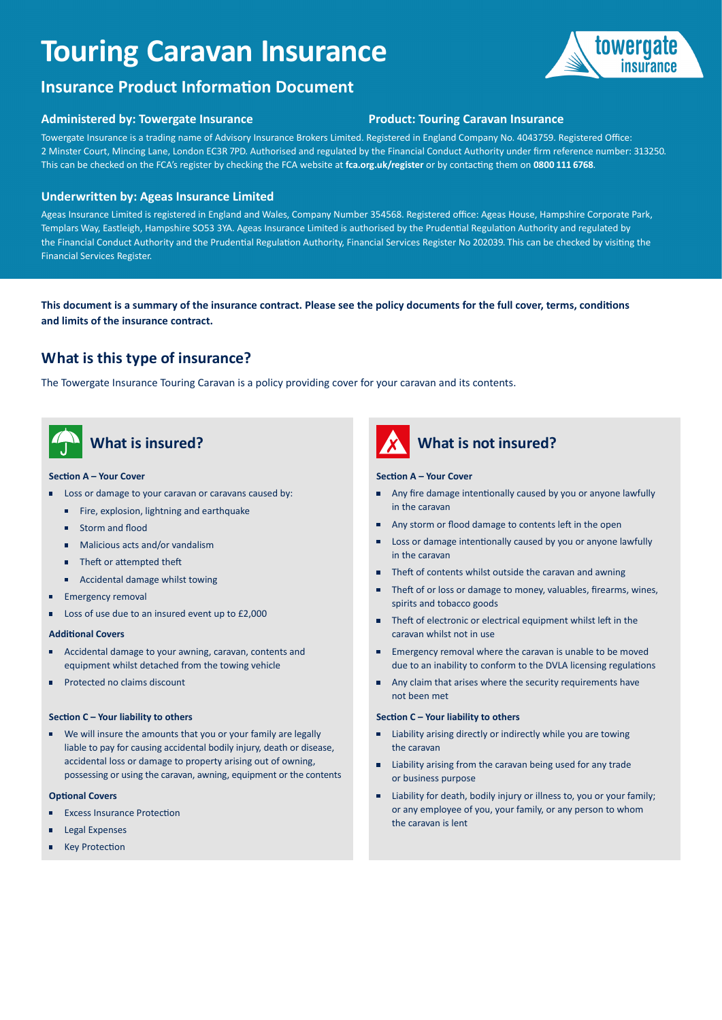# **Touring Caravan Insurance**



## **Administered by: Towergate Insurance Product: Touring Caravan Insurance**

Towergate Insurance is a trading name of Advisory Insurance Brokers Limited. Registered in England Company No. 4043759. Registered Office: 2 Minster Court, Mincing Lane, London EC3R 7PD. Authorised and regulated by the Financial Conduct Authority under firm reference number: 313250. This can be checked on the FCA's register by checking the FCA website at **[fca.org.uk/register](https://fca.org.uk/register)** or by contacting them on **0800 111 6768**.

### **Underwritten by: Ageas Insurance Limited**

Ageas Insurance Limited is registered in England and Wales, Company Number 354568. Registered office: Ageas House, Hampshire Corporate Park, Templars Way, Eastleigh, Hampshire SO53 3YA. Ageas Insurance Limited is authorised by the Prudential Regulation Authority and regulated by the Financial Conduct Authority and the Prudential Regulation Authority, Financial Services Register No 202039. This can be checked by visiting the Financial Services Register.

**This document is a summary of the insurance contract. Please see the policy documents for the full cover, terms, conditions and limits of the insurance contract.**

# **What is this type of insurance?**

The Towergate Insurance Touring Caravan is a policy providing cover for your caravan and its contents.

# **What is insured?**

### **Section A – Your Cover**

- Loss or damage to your caravan or caravans caused by:
	- Fire, explosion, lightning and earthquake
	- Storm and flood
	- Malicious acts and/or vandalism
	- Theft or attempted theft
	- **Accidental damage whilst towing**
- **Emergency removal**
- Loss of use due to an insured event up to £2,000

### **Additional Covers**

- Accidental damage to your awning, caravan, contents and equipment whilst detached from the towing vehicle
- **Protected no claims discount**

### **Section C – Your liability to others**

 We will insure the amounts that you or your family are legally liable to pay for causing accidental bodily injury, death or disease, accidental loss or damage to property arising out of owning, possessing or using the caravan, awning, equipment or the contents

### **Optional Covers**

- Ē Excess Insurance Protection
- Legal Expenses
- Key Protection



# **What is not insured?**

### **Section A – Your Cover**

- Any fire damage intentionally caused by you or anyone lawfully  $\blacksquare$ in the caravan
- Any storm or flood damage to contents left in the open
- Loss or damage intentionally caused by you or anyone lawfully п in the caravan
- m. Theft of contents whilst outside the caravan and awning
- Theft of or loss or damage to money, valuables, firearms, wines, п spirits and tobacco goods
- Theft of electronic or electrical equipment whilst left in the caravan whilst not in use
- **Emergency removal where the caravan is unable to be moved** due to an inability to conform to the DVLA licensing regulations
- Any claim that arises where the security requirements have not been met

### **Section C – Your liability to others**

- Liability arising directly or indirectly while you are towing the caravan
- Liability arising from the caravan being used for any trade or business purpose
- Liability for death, bodily injury or illness to, you or your family; or any employee of you, your family, or any person to whom the caravan is lent